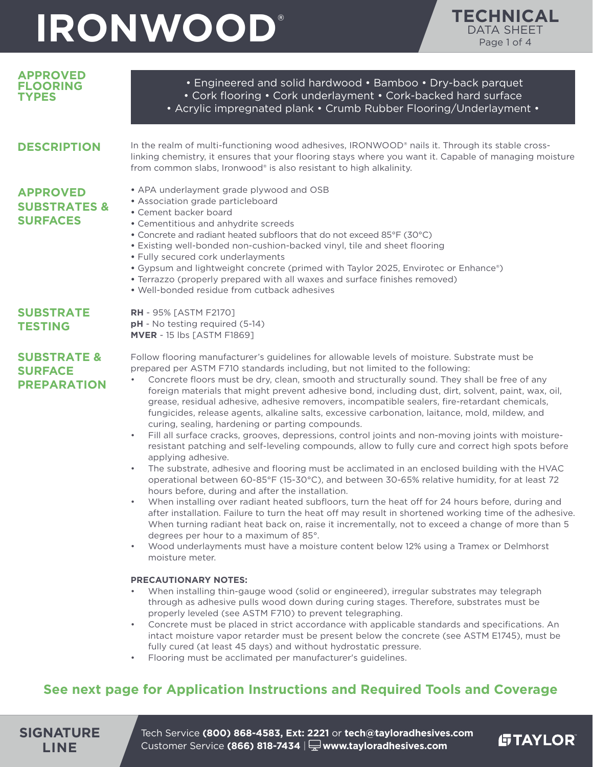

| <b>APPROVED</b><br><b>FLOORING</b><br><b>TYPES</b>                         | • Engineered and solid hardwood • Bamboo • Dry-back parquet<br>• Cork flooring • Cork underlayment • Cork-backed hard surface<br>• Acrylic impregnated plank • Crumb Rubber Flooring/Underlayment •                                                                                                                                                                                                                                                                                                                                                                                                                                                                                                                                                                                                                                                                                                                                                                                                                                                                                                                                                                                                                                                                                                                                                                                                                                                                                                                                                                                                                                                                                                                                                                                                                                                                                                                                                                                                                                                                                                                                                                            |  |  |  |
|----------------------------------------------------------------------------|--------------------------------------------------------------------------------------------------------------------------------------------------------------------------------------------------------------------------------------------------------------------------------------------------------------------------------------------------------------------------------------------------------------------------------------------------------------------------------------------------------------------------------------------------------------------------------------------------------------------------------------------------------------------------------------------------------------------------------------------------------------------------------------------------------------------------------------------------------------------------------------------------------------------------------------------------------------------------------------------------------------------------------------------------------------------------------------------------------------------------------------------------------------------------------------------------------------------------------------------------------------------------------------------------------------------------------------------------------------------------------------------------------------------------------------------------------------------------------------------------------------------------------------------------------------------------------------------------------------------------------------------------------------------------------------------------------------------------------------------------------------------------------------------------------------------------------------------------------------------------------------------------------------------------------------------------------------------------------------------------------------------------------------------------------------------------------------------------------------------------------------------------------------------------------|--|--|--|
| <b>DESCRIPTION</b>                                                         | In the realm of multi-functioning wood adhesives, IRONWOOD® nails it. Through its stable cross-<br>linking chemistry, it ensures that your flooring stays where you want it. Capable of managing moisture<br>from common slabs, Ironwood® is also resistant to high alkalinity.                                                                                                                                                                                                                                                                                                                                                                                                                                                                                                                                                                                                                                                                                                                                                                                                                                                                                                                                                                                                                                                                                                                                                                                                                                                                                                                                                                                                                                                                                                                                                                                                                                                                                                                                                                                                                                                                                                |  |  |  |
| <b>APPROVED</b><br><b>SUBSTRATES &amp;</b><br><b>SURFACES</b>              | • APA underlayment grade plywood and OSB<br>• Association grade particleboard<br>• Cement backer board<br>• Cementitious and anhydrite screeds<br>• Concrete and radiant heated subfloors that do not exceed 85°F (30°C)<br>. Existing well-bonded non-cushion-backed vinyl, tile and sheet flooring<br>· Fully secured cork underlayments<br>• Gypsum and lightweight concrete (primed with Taylor 2025, Envirotec or Enhance®)<br>• Terrazzo (properly prepared with all waxes and surface finishes removed)<br>. Well-bonded residue from cutback adhesives                                                                                                                                                                                                                                                                                                                                                                                                                                                                                                                                                                                                                                                                                                                                                                                                                                                                                                                                                                                                                                                                                                                                                                                                                                                                                                                                                                                                                                                                                                                                                                                                                 |  |  |  |
| <b>SUBSTRATE</b><br><b>TESTING</b>                                         | <b>RH</b> - 95% [ASTM F2170]<br>pH - No testing required (5-14)<br><b>MVER</b> - 15 lbs [ASTM F1869]                                                                                                                                                                                                                                                                                                                                                                                                                                                                                                                                                                                                                                                                                                                                                                                                                                                                                                                                                                                                                                                                                                                                                                                                                                                                                                                                                                                                                                                                                                                                                                                                                                                                                                                                                                                                                                                                                                                                                                                                                                                                           |  |  |  |
| <b>SUBSTRATE &amp;</b><br><b>SURFACE</b><br><b>PREPARATION</b>             | Follow flooring manufacturer's guidelines for allowable levels of moisture. Substrate must be<br>prepared per ASTM F710 standards including, but not limited to the following:<br>Concrete floors must be dry, clean, smooth and structurally sound. They shall be free of any<br>foreign materials that might prevent adhesive bond, including dust, dirt, solvent, paint, wax, oil,<br>grease, residual adhesive, adhesive removers, incompatible sealers, fire-retardant chemicals,<br>fungicides, release agents, alkaline salts, excessive carbonation, laitance, mold, mildew, and<br>curing, sealing, hardening or parting compounds.<br>Fill all surface cracks, grooves, depressions, control joints and non-moving joints with moisture-<br>$\bullet$<br>resistant patching and self-leveling compounds, allow to fully cure and correct high spots before<br>applying adhesive.<br>The substrate, adhesive and flooring must be acclimated in an enclosed building with the HVAC<br>operational between 60-85°F (15-30°C), and between 30-65% relative humidity, for at least 72<br>hours before, during and after the installation.<br>When installing over radiant heated subfloors, turn the heat off for 24 hours before, during and<br>after installation. Failure to turn the heat off may result in shortened working time of the adhesive.<br>When turning radiant heat back on, raise it incrementally, not to exceed a change of more than 5<br>degrees per hour to a maximum of 85°.<br>Wood underlayments must have a moisture content below 12% using a Tramex or Delmhorst<br>moisture meter.<br><b>PRECAUTIONARY NOTES:</b><br>When installing thin-gauge wood (solid or engineered), irregular substrates may telegraph<br>through as adhesive pulls wood down during curing stages. Therefore, substrates must be<br>properly leveled (see ASTM F710) to prevent telegraphing.<br>Concrete must be placed in strict accordance with applicable standards and specifications. An<br>intact moisture vapor retarder must be present below the concrete (see ASTM E1745), must be<br>fully cured (at least 45 days) and without hydrostatic pressure. |  |  |  |
| See next page for Application Instructions and Required Tools and Coverage |                                                                                                                                                                                                                                                                                                                                                                                                                                                                                                                                                                                                                                                                                                                                                                                                                                                                                                                                                                                                                                                                                                                                                                                                                                                                                                                                                                                                                                                                                                                                                                                                                                                                                                                                                                                                                                                                                                                                                                                                                                                                                                                                                                                |  |  |  |

**SIGNATURE LINE**

Tech Service **(800) 868-4583, Ext: 2221** or **tech@tayloradhesives.com** Customer Service **(866) 818-7434** | **www.tayloradhesives.com**

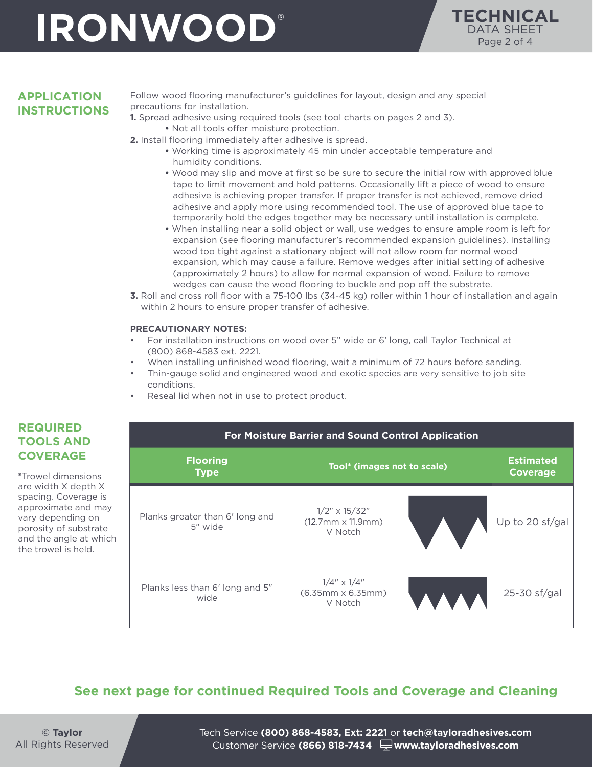

#### **APPLICATION INSTRUCTIONS**

Follow wood flooring manufacturer's guidelines for layout, design and any special precautions for installation.

**1.** Spread adhesive using required tools (see tool charts on pages 2 and 3).

**•** Not all tools offer moisture protection.

- **2.** Install flooring immediately after adhesive is spread.
	- **•** Working time is approximately 45 min under acceptable temperature and humidity conditions.
	- **•** Wood may slip and move at first so be sure to secure the initial row with approved blue tape to limit movement and hold patterns. Occasionally lift a piece of wood to ensure adhesive is achieving proper transfer. If proper transfer is not achieved, remove dried adhesive and apply more using recommended tool. The use of approved blue tape to temporarily hold the edges together may be necessary until installation is complete.
	- **•** When installing near a solid object or wall, use wedges to ensure ample room is left for expansion (see flooring manufacturer's recommended expansion guidelines). Installing wood too tight against a stationary object will not allow room for normal wood expansion, which may cause a failure. Remove wedges after initial setting of adhesive (approximately 2 hours) to allow for normal expansion of wood. Failure to remove wedges can cause the wood flooring to buckle and pop off the substrate.
- **3.** Roll and cross roll floor with a 75-100 lbs (34-45 kg) roller within 1 hour of installation and again within 2 hours to ensure proper transfer of adhesive.

#### **PRECAUTIONARY NOTES:**

- For installation instructions on wood over 5" wide or 6' long, call Taylor Technical at (800) 868-4583 ext. 2221.
- When installing unfinished wood flooring, wait a minimum of 72 hours before sanding.
- Thin-gauge solid and engineered wood and exotic species are very sensitive to job site conditions.
- Reseal lid when not in use to protect product.

| For Moisture Barrier and Sound Control Application |                                                             |  |                                     |  |  |
|----------------------------------------------------|-------------------------------------------------------------|--|-------------------------------------|--|--|
| <b>Flooring</b><br><b>Type</b>                     | Tool* (images not to scale)                                 |  | <b>Estimated</b><br><b>Coverage</b> |  |  |
| Planks greater than 6' long and<br>5" wide         | $1/2$ " x $15/32$ "<br>$(12.7mm \times 11.9mm)$<br>V Notch  |  | Up to 20 sf/gal                     |  |  |
| Planks less than 6' long and 5"<br>wide            | $1/4'' \times 1/4''$<br>$(6.35mm \times 6.35mm)$<br>V Notch |  | 25-30 sf/gal                        |  |  |

### **See next page for continued Required Tools and Coverage and Cleaning**

**© Taylor** All Rights Reserved Tech Service **(800) 868-4583, Ext: 2221** or **tech@tayloradhesives.com** Customer Service **(866) 818-7434** | **www.tayloradhesives.com**

### **REQUIRED TOOLS AND COVERAGE**

**\***Trowel dimensions are width X depth X spacing. Coverage is approximate and may vary depending on porosity of substrate and the angle at which the trowel is held.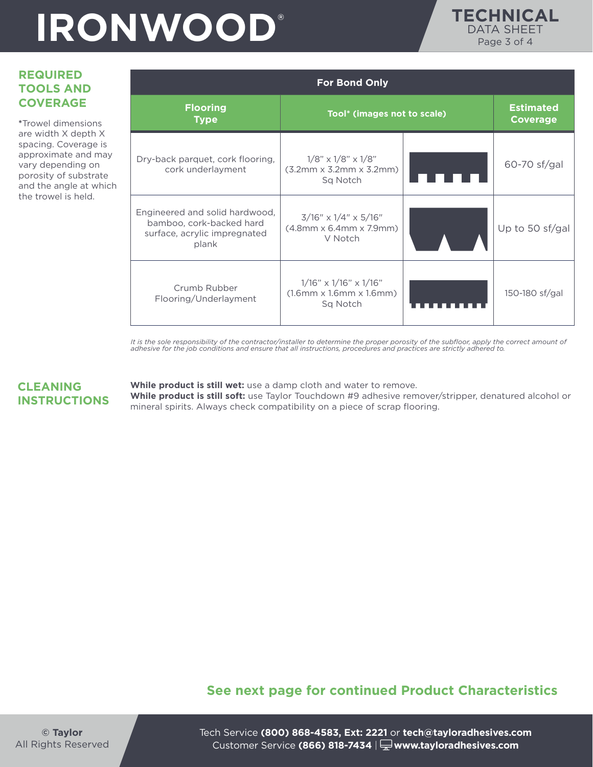

### **REQUIRED TOOLS AND COVERAGE**

**\***Trowel dimensions are width X depth X spacing. Coverage is approximate and may vary depending on porosity of substrate and the angle at which the trowel is held.

| <b>For Bond Only</b>                                                                                |                                                                                      |  |                                     |  |  |  |
|-----------------------------------------------------------------------------------------------------|--------------------------------------------------------------------------------------|--|-------------------------------------|--|--|--|
| <b>Flooring</b><br><b>Type</b>                                                                      | Tool* (images not to scale)                                                          |  | <b>Estimated</b><br><b>Coverage</b> |  |  |  |
| Dry-back parquet, cork flooring,<br>cork underlayment                                               | $1/8$ " x $1/8$ " x $1/8$ "<br>$(3.2mm \times 3.2mm \times 3.2mm)$<br>Sq Notch       |  | 60-70 sf/gal                        |  |  |  |
| Engineered and solid hardwood,<br>bamboo, cork-backed hard<br>surface, acrylic impregnated<br>plank | $3/16''$ x $1/4''$ x $5/16''$<br>$(4.8$ mm x 6.4mm x 7.9mm)<br>V Notch               |  | Up to 50 sf/gal                     |  |  |  |
| Crumb Rubber<br>Flooring/Underlayment                                                               | $1/16" \times 1/16" \times 1/16"$<br>$(1.6$ mm $x 1.6$ mm $x 1.6$ mm $)$<br>Sq Notch |  | 150-180 sf/gal                      |  |  |  |

It is the sole responsibility of the contractor/installer to determine the proper porosity of the subfloor, apply the correct amount of<br>adhesive for the job conditions and ensure that all instructions, procedures and pract

#### **CLEANING INSTRUCTIONS**

**While product is still wet:** use a damp cloth and water to remove. **While product is still soft:** use Taylor Touchdown #9 adhesive remover/stripper, denatured alcohol or mineral spirits. Always check compatibility on a piece of scrap flooring.

### **See next page for continued Product Characteristics**

Tech Service **(800) 868-4583, Ext: 2221** or **tech@tayloradhesives.com** Customer Service **(866) 818-7434** | **www.tayloradhesives.com**

**© Taylor** All Rights Reserved